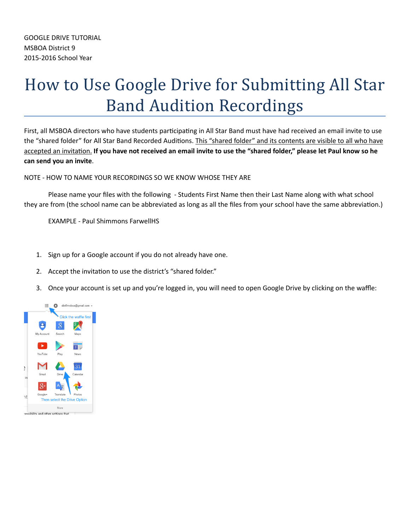## How to Use Google Drive for Submitting All Star **Band Audition Recordings**

First, all MSBOA directors who have students participating in All Star Band must have had received an email invite to use the "shared folder" for All Star Band Recorded Auditions. This "shared folder" and its contents are visible to all who have accepted an invitation. If you have not received an email invite to use the "shared folder," please let Paul know so he **can send you an invite**.

NOTE - HOW TO NAME YOUR RECORDINGS SO WE KNOW WHOSE THEY ARE

Please name your files with the following - Students First Name then their Last Name along with what school they are from (the school name can be abbreviated as long as all the files from your school have the same abbreviation.)

**EXAMPLE - Paul Shimmons FarwellHS** 

- 1. Sign up for a Google account if you do not already have one.
- 2. Accept the invitation to use the district's "shared folder."
- 3. Once your account is set up and you're logged in, you will need to open Google Drive by clicking on the waffle:

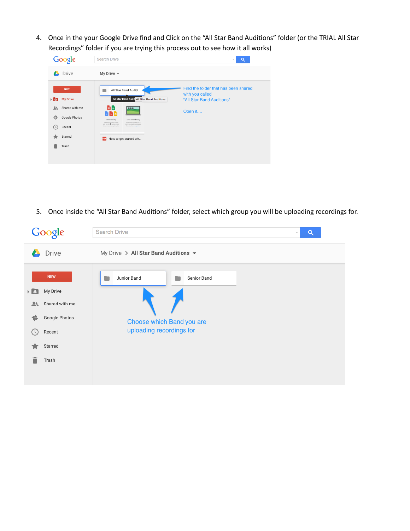4. Once in the your Google Drive find and Click on the "All Star Band Auditions" folder (or the TRIAL All Star Recordings" folder if you are trying this process out to see how it all works)

| Google                                                                                                             | Search Drive                                                                                                                                                                                                                                                                                               | Q<br>$\overline{\nabla}$                                                             |
|--------------------------------------------------------------------------------------------------------------------|------------------------------------------------------------------------------------------------------------------------------------------------------------------------------------------------------------------------------------------------------------------------------------------------------------|--------------------------------------------------------------------------------------|
| Drive                                                                                                              | My Drive $\sim$                                                                                                                                                                                                                                                                                            |                                                                                      |
| <b>NEW</b><br><b>My Drive</b><br>$\triangleright$ $\triangleright$                                                 | All Star Band Auditi<br>All Star Band Audit All Star Band Auditions                                                                                                                                                                                                                                        | Find the folder that has been shared<br>with you called<br>"All Star Band Auditions" |
| Shared with me<br>$\stackrel{\circ}{\neg}$<br>Google Photos<br>41<br>Recent<br>$\overline{(\}$<br>Starred<br>Trash | <b>a a</b><br>DIE<br>M M F<br>Store safely<br>Sync seamlessly<br>Add any file you want to keep.<br>Get ties from your Mac or PC.<br>sale with the @ batton photos.<br>into Drive using the decision app.<br>dopravis, and complication.<br>Description is a provided from<br>How to get started wit<br>PDF | Open it                                                                              |

5. Once inside the "All Star Band Auditions" folder, select which group you will be uploading recordings for.

|                          | Google                                                                         | <b>Search Drive</b><br>Q<br>$\overline{\phantom{a}}$                                |  |  |  |  |  |  |  |  |  |
|--------------------------|--------------------------------------------------------------------------------|-------------------------------------------------------------------------------------|--|--|--|--|--|--|--|--|--|
| $\overline{\phantom{a}}$ | Drive                                                                          | My Drive > All Star Band Auditions $\sim$                                           |  |  |  |  |  |  |  |  |  |
| E A<br>≛≒<br>읖<br>U      | <b>NEW</b><br>My Drive<br>Shared with me<br>Google Photos<br>Recent<br>Starred | Junior Band<br>Senior Band<br>Choose which Band you are<br>uploading recordings for |  |  |  |  |  |  |  |  |  |
|                          | Trash                                                                          |                                                                                     |  |  |  |  |  |  |  |  |  |